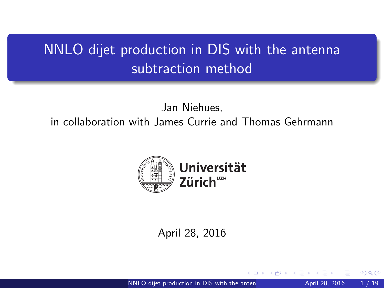# <span id="page-0-0"></span>NNLO dijet production in DIS with the antenna subtraction method

Jan Niehues, in collaboration with James Currie and Thomas Gehrmann



#### April 28, 2016

NNLO dijet production in DIS with the anten  $\overline{P}$  April 28, 2016 1 / 19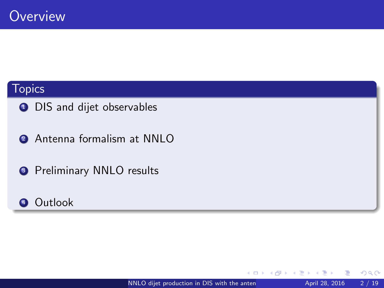## **Topics**

- **1** DIS and dijet observables
- **2** Antenna formalism at NNLO
- **3** Preliminary NNLO results
- **4** Outlook

 $\leftarrow$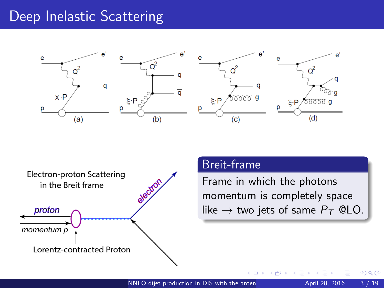## Deep Inelastic Scattering







#### Breit-frame

Frame in which the photons momentum is completely space like  $\rightarrow$  two jets of same  $P_T$  @LO.

 $\Box$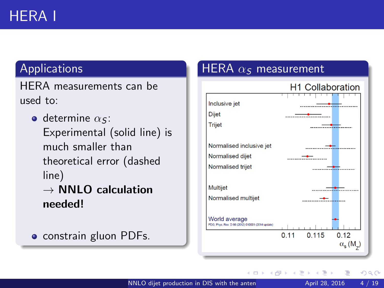## Applications

HERA measurements can be used to:

 $\bullet$  determine  $\alpha$ s: Experimental (solid line) is much smaller than theoretical error (dashed line)  $\rightarrow$  NNLO calculation needed!

• constrain gluon PDFs.

## HERA  $\alpha$ <sub>S</sub> measurement



4 D F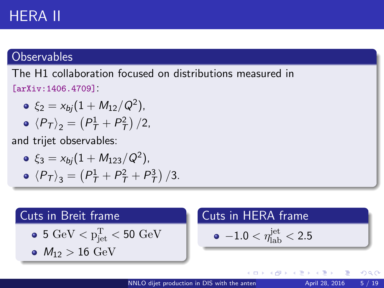# HERA II

#### **Observables**

The H1 collaboration focused on distributions measured in [arXiv:1406.4709]:

 $\xi_2 = x_{bj} (1 + M_{12}/Q^2)$ ,  $\langle P_T \rangle_2 = \left( P_T^1 + P_T^2 \right) / 2,$ 

and trijet observables:

 $\xi_3 = x_{bj} (1 + M_{123}/Q^2)$  ,

$$
\bullet \ \langle P_T \rangle_3 = \left( P_T^1 + P_T^2 + P_T^3 \right) / 3.
$$

#### Cuts in Breit frame

$$
\bullet \ 5 \ {\rm GeV} < p_{\rm jet}^{\rm T} < 50 \ {\rm GeV}
$$

$$
\bullet\hspace{1mm} M_{12}>16~{\rm GeV}
$$

## Cuts in HERA frame

$$
\bullet \ -1.0 < \eta_{\rm lab}^{\rm jet} < 2.5
$$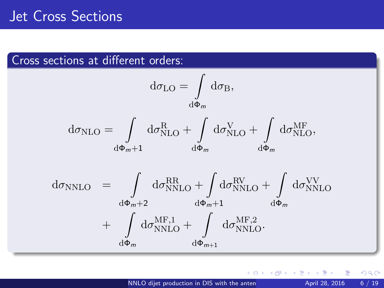## Jet Cross Sections

## Cross sections at different orders:

$$
d\sigma_{LO} = \int_{d\Phi_m} d\sigma_B,
$$
  
\n
$$
d\sigma_{NLO} = \int_{d\Phi_m+1} d\sigma_{NLO}^R + \int_{d\Phi_m} d\sigma_{NLO}^V + \int_{d\Phi_m} d\sigma_{NLO}^{MF},
$$
  
\n
$$
d\sigma_{NNLO} = \int_{d\Phi_m+2} d\sigma_{NNLO}^{RR} + \int_{d\Phi_m+1} d\sigma_{NNLO}^{RV} + \int_{d\Phi_m} d\sigma_{NNLO}^{NV}
$$
  
\n
$$
+ \int_{d\Phi_m} d\sigma_{NNLO}^{MF,1} + \int_{d\Phi_{m+1}} d\sigma_{NNLO}^{MF,2}.
$$

4 D F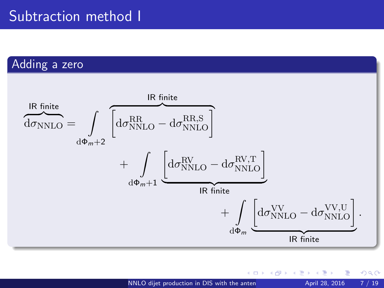## Subtraction method I

## Adding a zero



 $\square$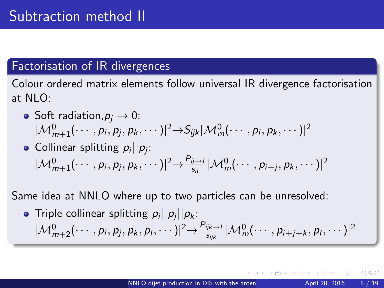## Factorisation of IR divergences

Colour ordered matrix elements follow universal IR divergence factorisation at  $NIO$ :

- Soft radiation,  $p_i \rightarrow 0$ :  $|\mathcal{M}_{m+1}^0(\cdots,p_i,p_j,p_k,\cdots)|^2 {\rightarrow} S_{ijk} |\mathcal{M}_{m}^0(\cdots,p_i,p_k,\cdots)|^2$
- Collinear splitting  $p_i || p_j$ :  $|\mathcal{M}_{m+1}^0(\cdots,p_i,p_j,p_k,\cdots)|^2 {\rightarrow}\frac{P_{ij\rightarrow i}}{s_{ii}}$  $\frac{\partial \overline{y}\rightarrow I}{\partial s_{ij}}|\mathcal{M}^0_m(\cdots,p_{i+j},p_k,\cdots)|^2$

Same idea at NNLO where up to two particles can be unresolved:

Triple collinear splitting  $p_i||p_j||p_k$ :  $|\mathcal{M}_{m+2}^0(\cdots,p_i,p_j,p_k,p_l,\cdots)|^2 {\rightarrow}\frac{P_{ijk\rightarrow1}}{s_{iik}}$  $\frac{\partial \hat{y}_{k\rightarrow l}}{\partial s_{ijk}} |\mathcal{M}^0_m(\cdots, \rho_{i+j+k}, \rho_l, \cdots)|^2$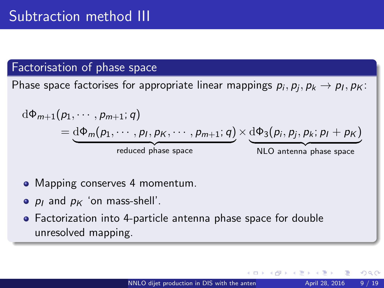#### Factorisation of phase space

Phase space factorises for appropriate linear mappings  $\rho_i, \rho_j, p_k \rightarrow \rho_I, p_K$ :

$$
d\Phi_{m+1}(p_1, \cdots, p_{m+1}; q)
$$
  
= 
$$
\underbrace{d\Phi_m(p_1, \cdots, p_l, p_K, \cdots, p_{m+1}; q)}_{reduced phase space} \times \underbrace{d\Phi_3(p_i, p_j, p_k; p_l + p_K)}_{NLO antenna phase space}
$$

- Mapping conserves 4 momentum.
- $p_1$  and  $p_K$  'on mass-shell'.
- Factorization into 4-particle antenna phase space for double unresolved mapping.

つひひ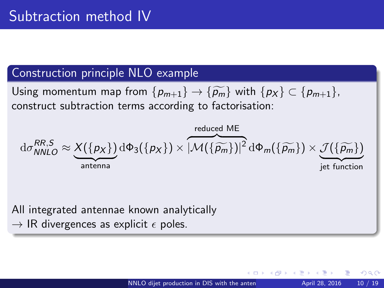## Construction principle NLO example

Using momentum map from  $\{p_{m+1}\}\rightarrow \{\widetilde{p_m}\}\$  with  $\{p_X\}\subset \{p_{m+1}\}\$ , construct subtraction terms according to factorisation:

$$
\mathrm{d}\sigma_{NNLO}^{RR,S} \approx \underbrace{X(\{p_X\})}_{\text{antenna}} \mathrm{d}\Phi_3(\{p_X\}) \times \overbrace{|\mathcal{M}(\{\widetilde{p}_m\})|^2}^{\text{reduced ME}} \mathrm{d}\Phi_m(\{\widetilde{p}_m\}) \times \underbrace{\mathcal{J}(\{\widetilde{p}_m\})}_{\text{jet function}}
$$

All integrated antennae known analytically

 $\rightarrow$  IR divergences as explicit  $\epsilon$  poles.

つひひ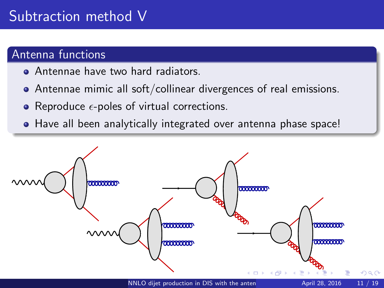## Subtraction method V

## Antenna functions

- Antennae have two hard radiators.
- Antennae mimic all soft/collinear divergences of real emissions.
- Reproduce  $\epsilon$ -poles of virtual corrections.
- Have all been analytically integrated over antenna phase space!

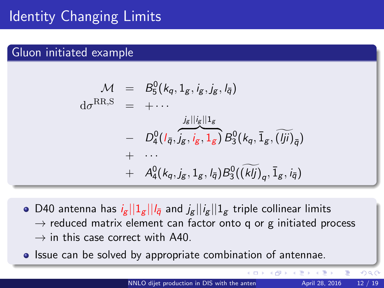# Identity Changing Limits

## Gluon initiated example

$$
\begin{array}{rcl}\nM & = & B_5^0(k_q, 1_g, i_g, j_g, l_{\overline{q}}) \\
\mathrm{d}\sigma^{\text{RR},\text{S}} & = & + \cdots \\
& & & \vdots \\
& & - & D_4^0(l_{\overline{q}}, \overline{j_g}, i_g, 1_g) B_3^0(k_q, \overline{1}_g, \overline{(jj)})_{\overline{q}} \\
& & + & \cdots \\
& & & + & A_4^0(k_q, j_g, 1_g, l_{\overline{q}}) B_3^0(\overline{(k/j)}_q, \overline{1}_g, i_{\overline{q}})\n\end{array}
$$

- D40 antenna has  $i_g ||1_g || i_{\bar{g}}$  and  $j_g || i_g || 1_g$  triple collinear limits  $\rightarrow$  reduced matrix element can factor onto q or g initiated process  $\rightarrow$  in this case correct with A40.
- **Issue can be solved by appropriate combination of antennae.**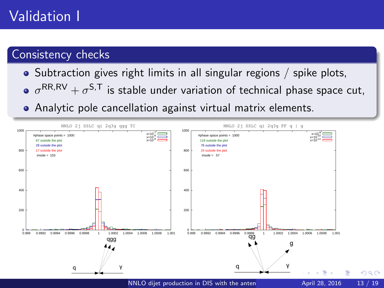# Validation I

## Consistency checks

- Subtraction gives right limits in all singular regions / spike plots,
- $\sigma^{\mathsf{RR},\mathsf{RV}}+\sigma^{\mathsf{S},\mathsf{T}}$  is stable under variation of technical phase space cut,
- Analytic pole cancellation against virtual matrix elements.

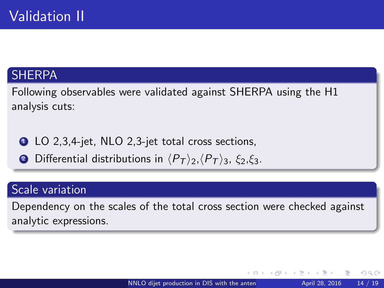## **SHERPA**

Following observables were validated against SHERPA using the H1 analysis cuts:

- **1 LO** 2,3,4-jet, NLO 2,3-jet total cross sections,
- **2** Differential distributions in  $\langle P_T \rangle$ <sub>2</sub>,  $\langle P_T \rangle$ <sub>3</sub>,  $\xi$ <sub>2</sub>, $\xi$ <sub>3</sub>.

### Scale variation

Dependency on the scales of the total cross section were checked against analytic expressions.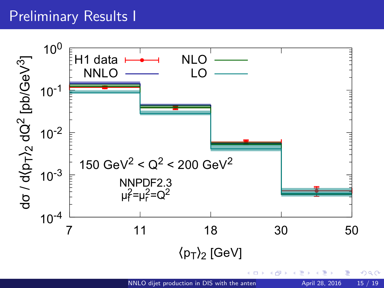# Preliminary Results I

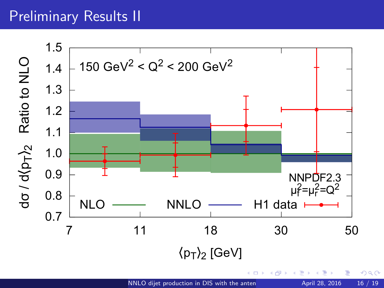## Preliminary Results II

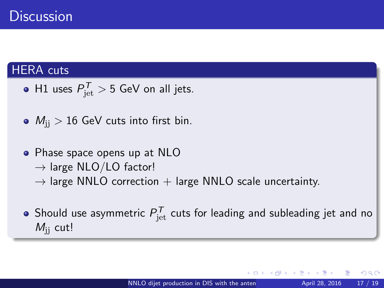## HERA cuts

- H1 uses  $P_{\rm jet}^{\cal T}>5$  GeV on all jets.
- $M_{ii} > 16$  GeV cuts into first bin.
- Phase space opens up at NLO
	- $\rightarrow$  large NLO/LO factor!
	- $\rightarrow$  large NNLO correction  $+$  large NNLO scale uncertainty.
- Should use asymmetric  $P^{\mathcal{T}}_{\rm jet}$  cuts for leading and subleading jet and no  $M_{ii}$  cut!